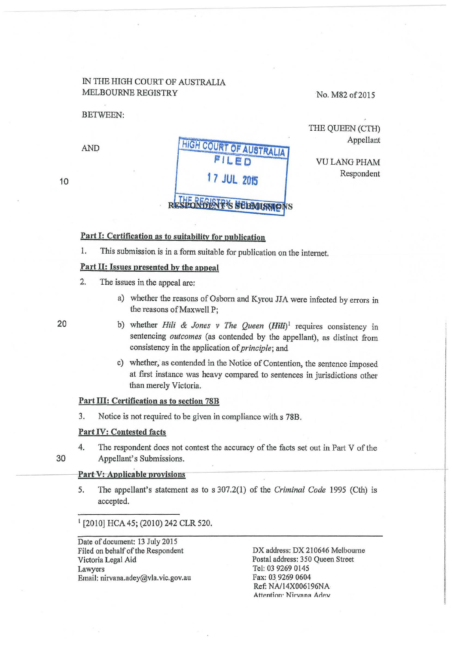# IN THE HIGH COURT OF AUSTRALIA MELBOURNE REGISTRY

BETWEEN:

# **AND HIGH COURT OF AUSTRALIA FILED 17 JUL 20f5 T'S SUBMUSSIC**

No. M82 of 2015

THE QUEEN (CTH)

VULANGPHAM

Appellant

Respondent

# Part I: Certification as to suitability for publication

1. This submission is in a form suitable for publication on the internet.

# Part II: Issues presented by the appeal

- 2. The issues in the appeal are:
	- a) whether the reasons of Osborn and Kyrou JJA were infected by errors in the reasons of Maxwell P;
	- b) whether *Hili & Jones v The Queen* (*Hili*)<sup>1</sup> requires consistency in sentencing *outcomes* (as contended by the appellant), as distinct from consistency in the application of *principle;* and
	- c) whether, as contended in the Notice of Contention, the sentence imposed at first instance was heavy compared to sentences in jurisdictions other than merely Victoria.

# Part III: Certification as to section 78B

3. Notice is not required to be given in compliance with s 78B.

#### Part IV: Contested facts

4. The respondent does not contest the accuracy of the facts set out in Part V of the 30 Appellant's Submissions.

#### Part-V: Applicable provisions

5. The appellant's statement as to s 307.2(1) of the *Criminal Code* 1995 (Cth) is accepted.

<sup>1</sup> [2010] HCA 45; (2010) 242 CLR 520.

Date of document: 13 July 2015 Filed on behalf of the Respondent Victoria Legal Aid Lawyers Email: nirvana.adey@vla.vic.gov.au

DX address: DX 210646 Melbourne Postal address: 350 Queen Street Tel: 03 9269 0145 Fax: 03 9269 0604 Ref: NA/14X006196NA Attention· Nirvana Adev

20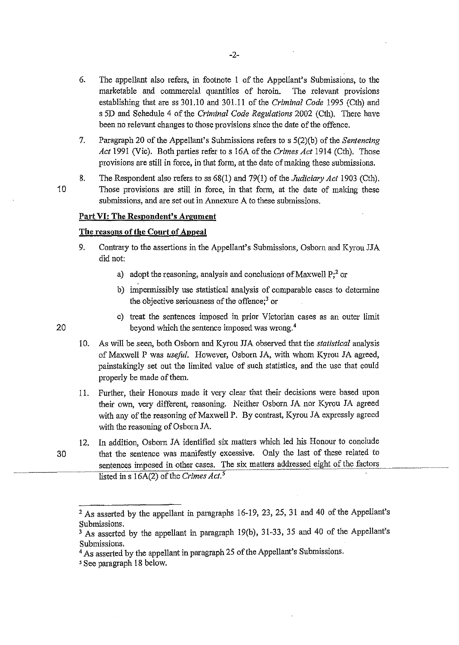- 6. The appellant also refers, in footnote 1 of the Appellant's Submissions, to the marketable and commercial quantities of heroin. The relevant provisions establishing that are ss 301.10 and 301.11 of the *Criminal Code* 1995 (Cth) and s SD and Schedule 4 of the *Criminal Code Regulations* 2002 (Cth). There have been no relevant changes to those provisions since the date of the offence.
- 7. Paragraph 20 of the Appellant's Submissions refers to s 5(2)(b) ofthe *Sentencing Act* 1991 (Vic). Both parties refer to s 16A of the *Crimes Act* 1914 (Cth). Those provisions are still in force, in that form, at the date of making these submissions.

8. The Respondent also refers to ss 68(1) and 79(1) of the *Judiciary Act* 1903 (Cth). 1 0 Those provisions are still in force, in that form, at the date of making these submissions, and are set out in Annexure A to these submissions.

# **Part VI: The Respondent's Argument**

# **The reasons of the Court of Appeal**

- 9. Contrary to the assertions in the Appellant's Submissions, Osborn and Kyrou JJA did not:
	- a) adopt the reasoning, analysis and conclusions of Maxwell  $P<sub>i</sub><sup>2</sup>$  or
	- b) impermissibly use statistical analysis of comparable cases to determine the objective seriousness of the offence;3 or
	- c) treat the sentences imposed in prior Victorian cases as an outer limit beyond which the sentence imposed was wrong. 4
- 1 0. As will be seen, both Osborn and Kyrou JJA observed that the *statistical* analysis of Maxwell P was *useful.* However, Osborn JA, with whom Kyrou JA agreed, painstakingly set out the limited value of such statistics, and the use that could properly be made of them.
- 11. Further, their Honours made it very clear that their decisions were based upon their own, very different, reasoning. Neither Osborn JA nor Kyrou JA agreed with any of the reasoning of Maxwell P. By contrast, Kyrou JA expressly agreed with the reasoning of Osborn JA.
- 12. In addition, Osborn JA identified six matters which led his Honour to conclude 30 that the sentence was manifestly excessive. Only the last of these related to sentences imposed in other cases. The six matters addressed eight of the factors listed ins 16A(2) of the *Crimes Act.<sup>5</sup>*

-2-

<sup>2</sup> As asserted by the appellant in paragraphs 16-19, 23, 25, 31 and 40 of the Appellant's Submissions.

<sup>3</sup> As asserted by the appellant in paragraph 19(b), 31-33, 35 and 40 of the Appellant's Submissions.

<sup>&</sup>lt;sup>4</sup> As asserted by the appellant in paragraph 25 of the Appellant's Submissions.

*<sup>5</sup>* See paragraph 18 below.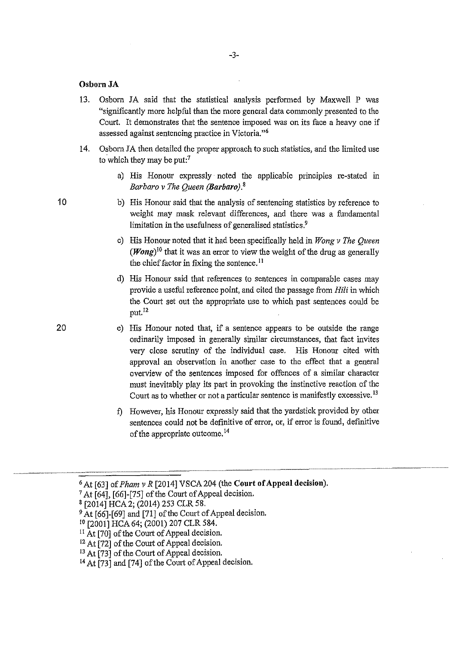### **Osborn JA**

- 13. Osborn JA said that the statistical analysis performed by Maxwell P was "significantly more helpful than the more general data commonly presented to the Court. It demonstrates that the sentence imposed was on its face a heavy one if assessed against sentencing practice in Victoria."<sup>6</sup>
- 14. Osborn JA then detailed the proper approach to such statistics, and the limited use to which they may be put:<sup>7</sup>
	- a) His Honour expressly · noted the applicable principles re-stated in *Barbaro v The Queen (Barbaro)*.<sup>8</sup>
	- b) His Honour said that the analysis of sentencing statistics by reference to weight may mask relevant differences, and there was a fundamental limitation in the usefulness of generalised statistics.<sup>9</sup>
	- c) His Honour noted that it had been specifically held in *Wong v The Queen*  **(Wong)** *<sup>10</sup>*that it was an error to view the weight of the drug as generally the chief factor in fixing the sentence. 11
	- d) His Honour said that references to sentences in comparable cases may provide a useful reference point, and cited the passage from Hili in which the Court set out the appropriate use to which past sentences could be put.I2
	- e) His Honour noted that, if a sentence appears to be outside the range ordinarily imposed in generally similar circumstances, that fact invites very close scrutiny of the individual case. His Honour cited with approval an observation in another case to the effect that a general overview of the sentences imposed for offences of a similar character must inevitably play its part in provoking the instinctive reaction of the Court as to whether or not a particular sentence is manifestly excessive. 13
	- f) However, his Honour expressly said that the yardstick provided by other sentences could not be definitive of error, or, if error is found, definitive of the appropriate outcome. <sup>14</sup>

10

<sup>6</sup> At [63] of *Pham v R* [2014] VSCA 204 (the **Court of Appeal decision).** 

<sup>7</sup> At [64], [66]-[75] of the Comt of Appeal decision.

<sup>8 [2014]</sup> HCA2; (2014) 253 CLR 58.

 $9$  At [66]-[69] and [71] of the Court of Appeal decision.

<sup>1</sup>o [2001] HCA64; (2001) 207 CLR584.

 $11$  At [70] of the Court of Appeal decision.

<sup>&</sup>lt;sup>12</sup> At [72] of the Court of Appeal decision.

<sup>&</sup>lt;sup>13</sup> At  $\overline{[73]}$  of the Court of Appeal decision.

<sup>14</sup> At [73] and [74] of the Court of Appeal decision.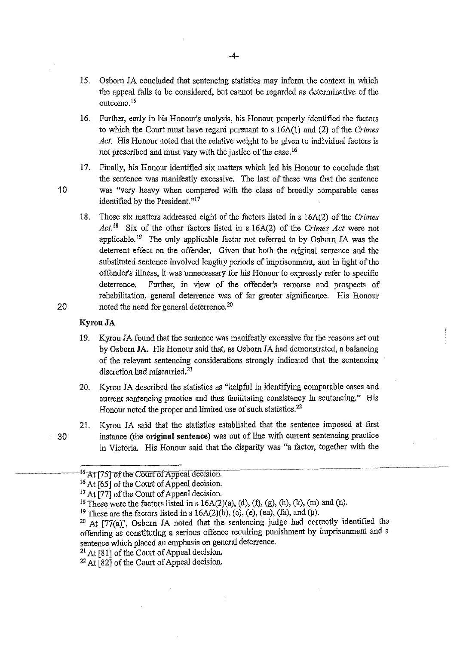- 15. Osborn JA concluded that sentencing statistics may inform the context in which the appeal falls to be considered, but cannot be regarded as determinative of the outcome. <sup>15</sup>
- 16. Further, early in his Honour's analysis, his Honour properly identified the factors to which the Court must have regard pursuant to s 16A(l) and (2) of the *Crimes Act.* His Honour noted that the relative weight to be given to individual factors is not prescribed and must vary with the justice of the case.<sup>16</sup>
- 17. Finally, his Honour identified six matters which led his Honour to conclude that the sentence was manifestly excessive. The last of these was that the sentence 1 0 was "very heavy when compared with the class of broadly comparable cases identified by the President."<sup>17</sup>
- 18. Those six matters addressed eight of the factors listed ins 16A(2) of the *Crimes*  Act.<sup>18</sup> Six of the other factors listed in s 16A(2) of the *Crimes Act* were not applicable. 19 The only applicable factor not referred to by Osborn JA was the deterrent effect on the offender. Given that both the original sentence and the substituted sentence involved lengthy periods of imprisonment, and in light of the offender's illness, it was unnecessary for his Honour to expressly refer to specific deterrence. Further, in view of the offender's remorse and prospects of rehabilitation, general deterrence was of far greater significance. His Honour 20 noted the need for general deterrence. $20$

## **KyrouJA**

- 19. Kyrou JA found that the sentence was manifestly excessive for the reasons set out by Osborn JA. His Honour said that, as Osborn JA had demonstrated, a balancing of the relevant sentencing considerations strongly indicated that the sentencing discretion had miscarried.<sup>21</sup>
- 20. Kyrou JA described the statistics as "helpful in identifying comparable cases and current sentencing practice and thus facilitating consistency in sentencing." His Honour noted the proper and limited use of such statistics.<sup>22</sup>
- 21. Kyrou JA said that the statistics established that the sentence imposed at first 30 instance (the **m·iginal sentence)** was out of line with current sentencing practice in Victoria. His Honour said that the disparity was "a factor, together with the

<sup>21</sup> At [81] of the Court of Appeal decision.

<sup>22</sup> At [82] of the Court of Appeal decision.

<sup>&</sup>lt;sup>-15-</sup>At [75] of the Court of Appeal decision.

<sup>&</sup>lt;sup>16</sup> At [65] of the Court of Appeal decision.

<sup>&</sup>lt;sup>17</sup> At [77] of the Court of Appeal decision.

<sup>&</sup>lt;sup>18</sup> These were the factors listed in s  $16A(2)(a)$ , (d), (f), (g), (h), (k), (m) and (n).

<sup>&</sup>lt;sup>19</sup> These are the factors listed in s  $16A(2)(b)$ , (c), (e), (ea), (fa), and (p).

 $20$  At [77(a)], Osborn JA noted that the sentencing judge had correctly identified the offending as constituting a serious offence requiring punishment by imprisonment and a sentence which placed an emphasis on general deterrence.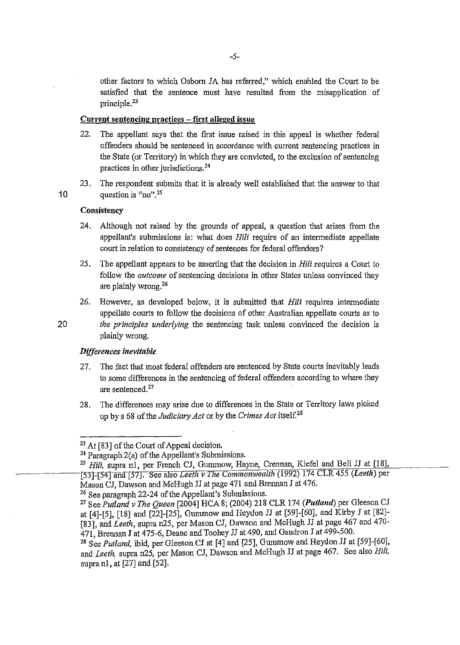other factors to which Osborn JA has referred," which enabled the Court to be satisfied that the sentence must have resulted from the misapplication of principle.<sup>23</sup>

# Current sentencing practices – first alleged issue

- 22. The appellant says that the first issue raised in this appeal is whether federal offenders should be sentenced in accordance with current sentencing practices in the State (or Territory) in which they are convicted, to the exclusion of sentencing practices in other jurisdictions. 24
- 23. The respondent submits that it is already well established that the answer to that 10 question is  $\binom{10}{10}$   $\binom{25}{10}$

# **Consistency**

- 24. Although not raised by the grounds of appeal, a question that arises from the appellant's submissions is: what does *Hili* require of an intermediate appellate court in relation to consistency of sentences for federal offenders?
- 25. The appellant appears to be asserting that the decision in *Hili* requires a Court to follow the *outcome* of sentencing decisions in other States unless convinced they are plainly wrong.2<sup>6</sup>
- 26. However, as developed below, it is submitted that *Hili* requires intermediate appellate courts to follow the decisions of other Australian appellate courts as to

20 *the principles underlying* the sentencing task unless convinced the decision is plainly wrong.

#### *Differences inevitable*

- 27. The fact that most federal offenders are sentenced by State courts inevitably leads to some differences in the sentencing of federal offenders according to where they are sentenced. 27
- 28. The differences may arise due to differences in the State or Territory laws picked up by s 68 of the *Judiciary Act* or by the *Crimes Act* itself.<sup>28</sup>

<sup>&</sup>lt;sup>23</sup> At [83] of the Court of Appeal decision.

<sup>24</sup> Paragraph 2(a) of the Appellant's Submissions.

<sup>&</sup>lt;sup>25</sup> Hili, supra nl, per French CJ, Gummow, Hayne, Crennan, Kiefel and Bell JJ at [18], [53]=[54] and-[57]:-See lilso *LeefliVTneCommonwealth* (1992) 174 CLR 455 *(Leeth)* per Mason CJ, Dawson and McHugh JJ at page 471 and Brennan J at 476.

<sup>26</sup> See paragraph 22-24 of the Appellant's Submissions.

<sup>27</sup>*SeePutland v The Queen* [2004] HCA8; (2004) 218 CLR 174 *(Put/and)* per Gleeson CJ at [4)-[5], [18] and [22]-[25), Gummow and Heydon JJ at [59)-[60], and Kirby J at [82]- [83], and *Leeth,* supra n25, per Mason CJ, Dawson and McHugh JJ at page 467 and 470- 471, Brennan J at 475-6, Deane and Toohey JJ at490, and Gaudron J at499-500.

<sup>&</sup>lt;sup>28</sup> See *Putland*, ibid, per Gleeson CJ at [4] and [25], Gummow and Heydon JJ at [59]-[60], and *Leeth,* supra n25, per Mason CJ, Dawson and McHugh JJ at page 467. See also *Hili,*  supra n1, at [27] and [52].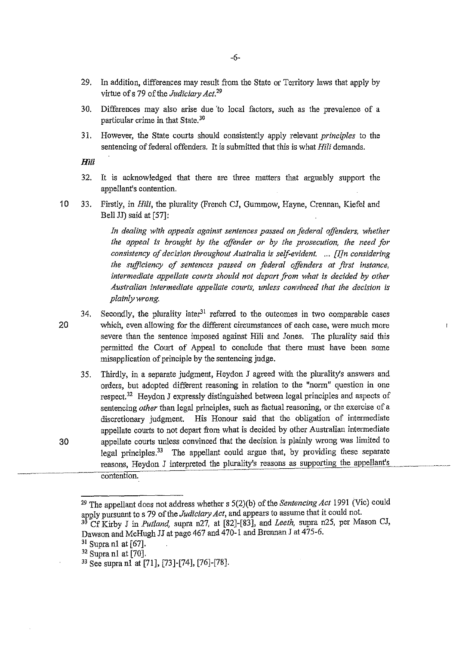- 29. In addition, differences may result from the State or Territory laws that apply by virtue of s 79 of the *Judiciary Act.2<sup>9</sup>*
- 30. Differences may also arise due 'to local factors, such as the prevalence of a particular crime in that State. 30
- 31. However, the State courts should consistently apply relevant *principles* to the sentencing of federal offenders. It is submitted that this is what *Hili* demands.

*Hili* 

- 32. It is acknowledged that there are three matters that arguably support the appellant's contention.
- 10 33. Firstly, in *Hili,* the plurality (French CJ, Gumrnow, Hayne, Crennan, Kiefel and Bell JJ) said at [57]:

*In dealing with appeals against sentences passed on foderal offenders, whether the appeal is brought by the offender or by the prosecution, the need for consistency of decision throughout Australia is self-evident.* .. . *[J]n considering the sufficiency of sentences passed on federal offenders at first instance, intermediate appellate courts should not depart from what is decided by other Australian intermediate appellate courts, unless convinced that the decision is plainly wrong.* 

- 34. Secondly, the plurality later<sup>31</sup> referred to the outcomes in two comparable cases 20 which, even allowing for the different circumstances of each case, were much more severe than the sentence imposed against Hili and Jones. The plurality said this permitted the Comt of Appeal to conclude that there must have been some misapplication of principle by the sentencing judge.
- 35. Thirdly, in a separate judgment, Heydon J agreed with the plurality's answers and orders, but adopted different reasoning in relation to the "norm" question in one respect.<sup>32</sup> Heydon J expressly distinguished between legal principles and aspects of sentencing *other* than legal principles, such as factual reasoning, or the exercise of a discretionary judgment. His Honour said that the obligation of intermediate appellate coutis to not depart from what is decided by other Australian intermediate 30 appellate courts unless convinced that the decision is plainly wrong was limited to legal principles.<sup>33</sup> The appellant could argue that, by providing these separate reasons, Heydon J interpreted the plurality's reasons as supporting the appellant's contention.

<sup>29</sup> The appellant does not address whether s 5(2)(b) of the *Sentencing Act* 1991 (Vic) could apply pursuant to s 79 of the *Judiciary Act*, and appears to assume that it could not.

<sup>30</sup> Cf Kirby J in *Putland,* supra n27, at [82]-[83], and *Leeth* supra n25, per Mason CJ, Dawson and McHugh JJ at page 467 and 470-1 and Brennan I at 475-6.

 $31$  Supra n1 at [67].

<sup>32</sup> Supra n1 at [70].

<sup>33</sup> See supra n1 at [71], [73]-[74], [76]-[78].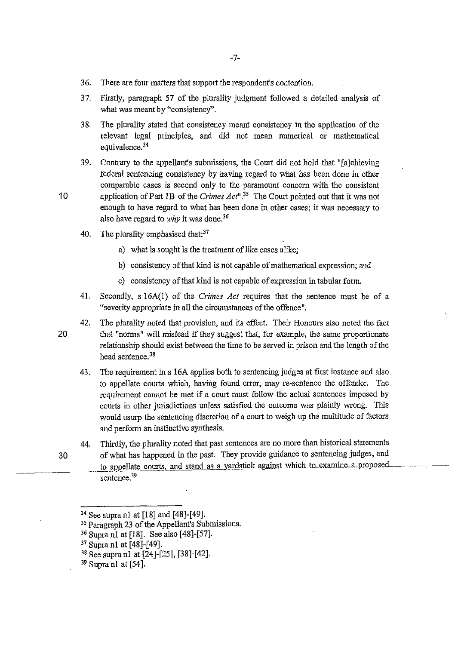- 36. There are four matters that support the respondent's contention.
- 37. Firstly, paragraph 57 of the plurality judgment followed a detailed analysis of what was meant by "consistency".
- 38. The plurality stated that consistency meant consistency in the application of the relevant legal principles, and did not mean numerical or mathematical equivalence.<sup>34</sup>
- 39. Contrary to the appellant's submissions, the Court did not hold that "falchieving federal sentencing consistency by having regard to what has been done in other comparable cases is second only to the paramount concern with the consistent 10 application of Part 1B of the *Crimes Act*<sup>", 35</sup> The Court pointed out that it was not enough to have regard to what has been done in other cases; it was necessary to also have regard to *why* it was done.<sup>36</sup>
	- 40. The plurality emphasised that: $37$ 
		- a) what is sought is the treatment of like cases alike;
		- b) consistency of that kind is not capable of mathematical expression; and
		- c) consistency of that kind is not capable of expression in tabular form.
	- 41. Secondly, s 16A(l) of the *Crimes Act* requires that the sentence must be of a "severity appropriate in all the circumstances of the offence".

42. The plurality noted that provision, and its effect. Their Honours also noted the fact 20 that "norms" will mislead if they suggest that, for example, the same proportionate relationship should exist between the time to be served in prison and the length of the head sentence.<sup>38</sup>

- 43. The requirement in s 16A applies both to sentencing judges at first instance and also to appellate courts which, having found error, may re-sentence the offender. The requirement cannot be met if a court must follow the actual sentences imposed by courts in other jurisdictions unless satisfied the outcome was plainly wrong. This would usurp the sentencing discretion of a court to weigh up the multitude of factors and perform an instinctive synthesis.
- 44. Thirdly, the plurality noted that past sentences are no more than historical statements 30 of what has happened in the past. They provide guidance to sentencing judges, and to appellate courts, and stand as a yardstick against which to examine a proposed sentence.<sup>39</sup>

<sup>34</sup> See supra nl at [18] and [48]-[49].

<sup>&</sup>lt;sup>35</sup> Paragraph 23 of the Appellant's Submissions.

<sup>36</sup> Supra nl at [18]. See also [48]-[57].

<sup>37</sup> Supra nl at [48]-[49].

<sup>&</sup>lt;sup>38</sup> See supra n1 at [24]-[25], [38]-[42].

 $39$  Supranl at [54].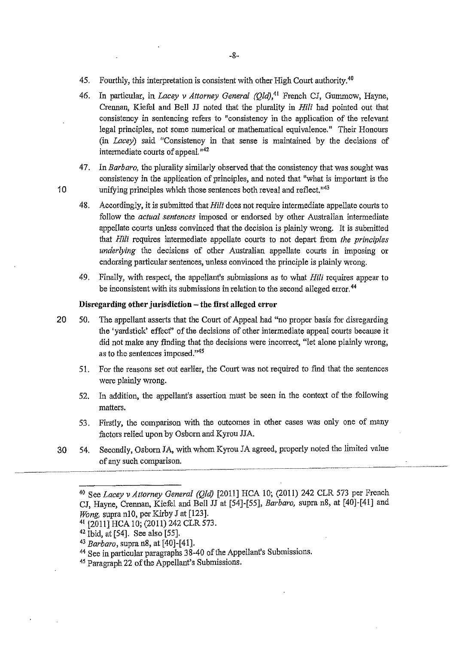- 45. Fourthly, this interpretation is consistent with other High Court authority.<sup>40</sup>
- 46. In particular, in *Lacey v Attorney General (Old)*,<sup>41</sup> French CJ, Gummow, Hayne, Crennan, Kiefel and Bell JJ noted that the plurality in Hili had pointed out that consistency in sentencing refers to "consistency in the application of the relevant legal principles, not some numerical or mathematical equivalence." Their Honours (in *Lacey)* said "Consistency in that sense is maintained by the decisions of intermediate courts of appeal.<sup>142</sup>
- 47. In *Barbaro,* the plurality similarly observed that the consistency that was sought was consistency in the application of principles, and noted that "what is important is the 10 unifying principles which those sentences both reveal and reflect.<sup> $n43$ </sup>
	- 48. Accordingly, it is submitted that *Hili* does not require intermediate appellate courts to follow the *actual sentences* imposed or endorsed by other Australian intermediate appellate courts unless convinced that the decision is plainly wrong. It is submitted that Hili requires intermediate appellate courts to not depart from *the principles underlying* the decisions of other Australian appellate courts in imposing or endorsing particular sentences, unless convinced the principle is plainly wrong.
	- 49. Finally, with respect, the appellant's submissions as to what *Hili* requires appear to be inconsistent with its submissions in relation to the second alleged error.<sup>44</sup>

# **Disregarding other jurisdiction - the first alleged error**

- 20 50. The appellant asserts that the Court of Appeal had "no proper basis for disregarding the 'yardstick' effecf' of the decisions of other intermediate appeal coutis because it did not make any finding that the decisions were incorrect, "let alone plainly wrong, as to the sentences imposed."<sup>45</sup>
	- 51. For the reasons set out earlier, the Court was not required to find that the sentences were plainly wrong.
	- 52. In addition, the appellant's assertion must be seen in the context of the following matters.
	- 53. Firstly, the comparison with the outcomes in other cases was only one of many factors relied upon by Osborn and Kyrou JJA.
- 30 54. Secondly, Osborn JA, with whom Kyrou JA agreed, properly noted the limited value of any such comparison.

<sup>40</sup> See *Lacey v Attorney General (Qld)* [2011] HCA 10; (2011) 242 CLR 573 per French CJ, Hayne, Crennan, Kiefel and Bell JJ at [54]-[55], *Barbaro,* supra n8, at [40]-[41] and *Wong*, supra n10, per Kirby J at [123].

<sup>41 [2011]</sup> HCA 10; (2011) 242 CLR 573.

 $42$  Ibid, at [54]. See also [55].

<sup>43</sup>*Barbaro,* supra n8, at [40]-[41].

<sup>44</sup> See in particular paragraphs 38-40 of the Appellant's Submissions.

<sup>&</sup>lt;sup>45</sup> Paragraph 22 of the Appellant's Submissions.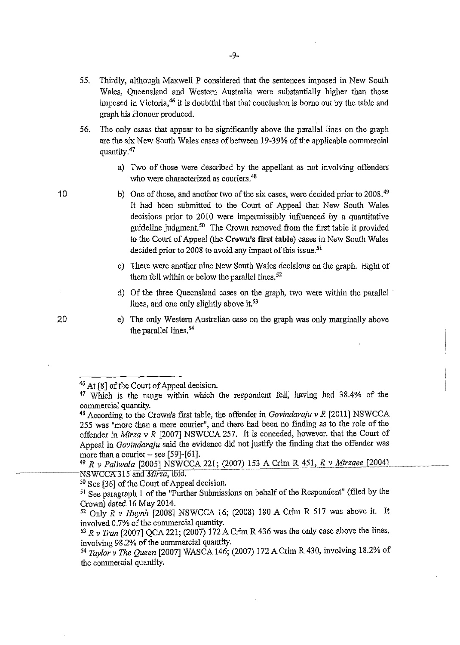- 55. Thirdly, although Maxwell P considered that the sentences imposed in New South Wales, Queensland and Western Australia were substantially higher than those imposed in Victoria,<sup>46</sup> it is doubtful that that conclusion is borne out by the table and graph his Honour produced.
- 56. The only cases that appear to be significantly above the parallel lines on the graph are the six New South Wales cases of between 19-39% of the applicable commercial quantity.<sup>47</sup>
	- a) Two of those were described by the appellant as not involving offenders who were characterized as couriers.<sup>48</sup>
	- b) One of those, and another two of the six cases, were decided prior to 2008.<sup>49</sup> It had been submitted to the Court of Appeal that New South Wales decisions prior to 2010 were impermissibly influenced by a quantitative guideline judgment.<sup>50</sup> The Crown removed from the first table it provided to the Court of Appeal (the **Crown's first table)** cases in New South Wales decided prior to 2008 to avoid any impact of this issue.<sup>51</sup>
	- c) There were another nine New South Wales decisions on the graph. Eight of them fell within or below the parallel lines. $52$
	- d) Of the three Queensland cases on the graph, two were within the parallel · lines, and one only slightly above it.<sup>53</sup>
	- e) The only Westem Australian case on the graph was only marginally above the parallel lines. 54

10

<sup>46</sup> At [8] of the Court of Appeal decision.

<sup>&</sup>lt;sup>47</sup> Which is the range within which the respondent fell, having had 38.4% of the commercial quantity.

<sup>&</sup>lt;sup>48</sup> According to the Crown's first table, the offender in *Govindaraju v R* [2011] NSWCCA 255 was "more than a mere courier", and there had been no finding as to the role of the offender in *Mirza v R* [2007] NSWCCA 257. It is conceded, however, that the Comt of Appeal in *Govindaraju* said the evidence did not justify the finding that the offender was more than a courier  $-$  see [59]-[61].

<sup>49</sup>*R v Paliwala* [2005] NSWCCA 221; (2007) 153 A Crim R 451, *R v Mirzaee* [2004) \_\_\_\_ --~-

 $50$  See [36] of the Court of Appeal decision.

<sup>51</sup> See paragraph l of the "Further Submissions on behalf of the Respondent" (filed by the Crown) dated 16 May 2014.

<sup>52</sup> Only *R v Huynh* [2008] NSWCCA 16; (2008) 180 A Crim R 517 was above it. It involved 0.7% of the commercial quantity.

<sup>53</sup>*R v Tran* [2007) QCA 221; (2007) 172A Crim R 436 was the only case above the lines, involving 98.2% of the commercial quantity.

<sup>54</sup>*Taylorv The Queen* [2007) WASCA 146; (2007) l72ACrimR430, involving 18.2% of the commercial quantity.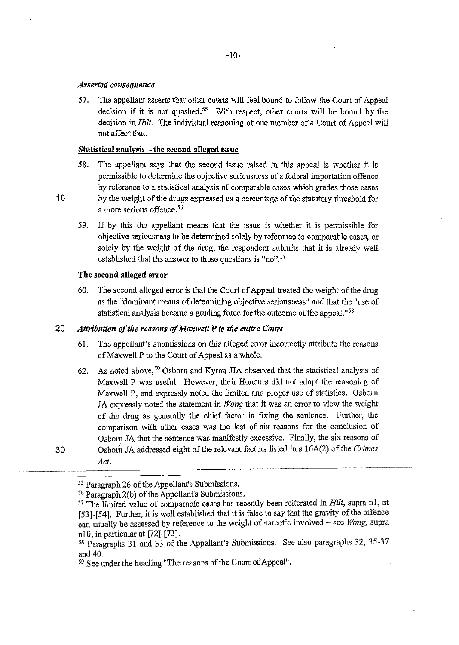#### *Asserted consequence*

57. The appellant asserts that other courts will feel bound to follow the Court of Appeal decision if it is not quashed.<sup>55</sup> With respect, other courts will be bound by the decision in *Hili.* The individual reasoning of one member of a Court of Appeal will not affect that.

#### Statistical analysis - the second alleged issue

- 58. The appellant says that the second issue raised in this appeal is whether it is permissible to determine the objective seriousness of a federal importation offence by reference to a statistical analysis of comparable cases which grades those cases 10 by the weight of the drugs expressed as a percentage of the statutory threshold for a more serious offence.<sup>56</sup>
	- 59. If by this the appellant means that the issue is whether it is permissible for objective seriousness to be determined solely by reference to comparable cases, or solely by the weight of the drug, the respondent submits that it is already well established that the answer to those questions is "no".<sup>57</sup>

#### The second alleged error

60. The second alleged error is that the Court of Appeal treated the weight of the drug as the "dominant means of determining objective seriousness" and that the "use of statistical analysis became a guiding force for the outcome of the appeal."<sup>58</sup>

# 20 *Attribution of the reasons of Maxwell P to the entire Court*

- 61. The appellant's submissions on *this* alleged error incorrectly attribute the reasons of Maxwell P to the Court of Appeal as a whole.
- 62. As noted above, *<sup>59</sup>*Osborn and Kyrou JJA observed that the statistical analysis of Maxwell P was useful. However, their Honours did not adopt the reasoning of Maxwell P, and expressly noted the limited and proper use of statistics. Osborn JA expressly noted the statement in *Wong* that it was an error to view the weight of the drug as generally the chief factor in fixing the sentence. Further, the comparison with other cases was the last of six reasons for the conclusion of Osborn JA that the sentence was manifestly excessive. Finally, the six reasons of 30 Osborn JA addressed eight of the relevant factors listed ins 16A(2) of the *Crimes Act.*

*<sup>55</sup>*Paragraph 26 of the Appellant's Submissions.

<sup>&</sup>lt;sup>56</sup> Paragraph 2(b) of the Appellant's Submissions.

<sup>&</sup>lt;sup>57</sup> The limited value of comparable cases has recently been reiterated in *Hili*, supra n1, at [53]-[54]. Further, it is well established that it is false to say that the gravity of the offence can usually be assessed by reference to the weight of narcotic involved - see *Wong,* supra nlO, in particular at [72]-[73].

<sup>58</sup> Paragraphs 31 and 33 of the Appellant's Submissions. See also paragraphs 32, 35-37 and 40.

*<sup>59</sup>* See under the heading "The reasons of the Court of Appeal".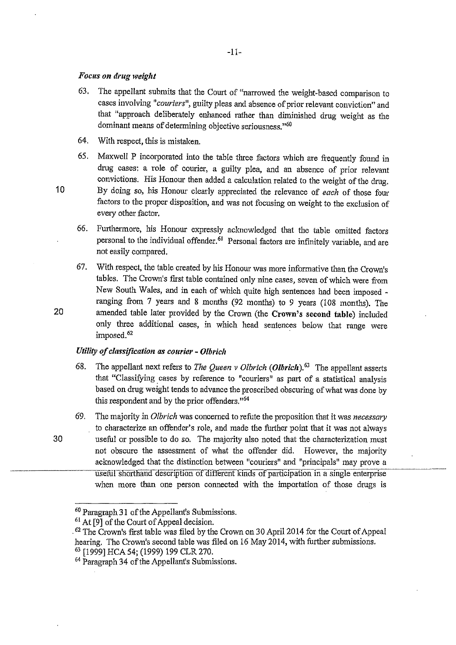## *Focus on drug weigflt*

- 63. The appellant submits that the Court of "narrowed the weight-based comparison to cases involving *"couriers",* guilty pleas and absence of prior relevant conviction" and that "approach deliberately enhanced rather than diminished drug weight as the dominant means of determining objective seriousness."<sup>60</sup>
- 64. With respect, this is mistaken.
- 65. Maxwell P incorporated into the table three factors which are frequently found in drug cases: a role of courier, a guilty plea, and an absence of prior relevant convictions. His Honour then added a calculation related to the weight of the drug. 1 0 By doing so, his Honour clearly appreciated the relevance of *each* of those four factors to the proper disposition, and was not focusing on weight to the exclusion of every other factor.
	- 66. Furthermore, his Honour expressly acknowledged that the table omitted factors personal to the individual offender. 61 Personal factors are infinitely variable, and are not easily compared.
- 67. With respect, the table created by his Honour was more informative than the Crown's tables. The Crown's first table contained only nine cases, seven of which were from New South Wales, and in each of which quite high sentences had been imposed ranging from  $7$  years and 8 months (92 months) to 9 years (108 months). The 20 amended table later provided by the Crown (the Crown's second table) included only three additional cases, in which head sentences below that range were imposed.<sup>62</sup>

## *Utility of classification as courier- Olbrich*

- 68. The appellant next refers to *The Queen v Olbrich* (*Olbrich*).<sup>63</sup> The appellant asserts that "Classifying eases by reference to "couriers" as part of a statistical analysis based on drug weight tends to advance the proscribed obscuring of what was done by this respondent and by the prior offenders."64
- 69. The majority in *Olbrich* was concerned to refute the proposition that it was *necessary*  to characterize an offender's role, and made the fmther point that it was not always 30 useful or possible to do so. The majority also noted that the characterization must not obscure the assessment of what the offender did. However, the majority acknowledged that the distinction between "couriers" and "principals" may prove a useful shorthand description of different kinds of participation in a single enterprise when more than one person connected with the importation of those drugs is

<sup>60</sup> Paragraph 31 of the Appellant's Submissions.

<sup>&</sup>lt;sup>61</sup> At [9] of the Court of Appeal decision.

 $62$  The Crown's first table was filed by the Crown on 30 April 2014 for the Court of Appeal hearing. The Crown's second table was filed on 16 May 2014, with further submissions. 63 [1999] HCA 54; (1999) 199 CLR 270.

*<sup>64</sup>* Paragraph 34 of the Appellant's Submissions.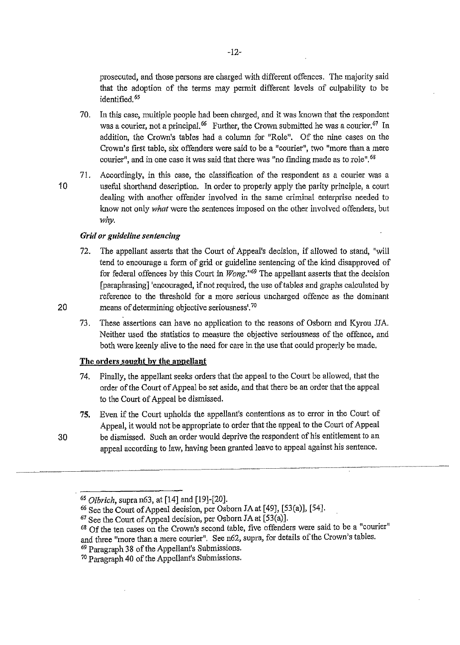prosecuted, and those persons are charged with different offences. The majority said that the adoption of the terms may permit different levels of culpability to be identified. 65

- 70. In this case, multiple people had been charged, and it was known that the respondent was a courier, not a principal.<sup>66</sup> Further, the Crown submitted he was a courier.<sup>67</sup> In addition, the Crown's tables had a column for "Role". Of the nine cases on the Crown's first table, six offenders were said to be a "courier", two "more than a mere courier", and in one case it was said that there was "no finding made as to role".<sup>68</sup>
- 71. Accordingly, in this case, the classification of the respondent as a courier was a 1 0 useful shorthand description. In order to properly apply the parity principle, a court dealing with another offender involved in the same criminal enterprise needed to know not only *what* were the sentences imposed on the other involved offenders, but *why.*

# *Grid or guideline sentencing*

- 72. The appellant asserts that the Court of Appeal's decision, if allowed to stand, "will tend to encourage a form of grid or guideline sentencing of the kind disapproved of for federal offences by this Court in *Wong."69* The appellant asserts that the decision [paraphrasing] 'encouraged, if not required, the use of tables and graphs calculated by reference to the threshold for a more serious uncharged offence as the dominant 20 means of determining objective seriousness<sup>', 70</sup>
	- 73. These assertions can have no application to the reasons of Osborn and Kyrou JJA. Neither used the statistics to measure the objective seriousness of the offence, and both were keenly alive to the need for care in the use that could properly be made.

# **The orders sought by the appellant**

- 74. Finally, the appellant seeks orders that the appeal to the Court be allowed, that the order of the Court of Appeal be set aside, and that there be an order that the appeal to the Court of Appeal be dismissed.
- **75.** Even if the Court upholds the appellant's contentions as to error in the Court of Appeal, it would not be appropriate to order that the appeal to the Court of Appeal 30 be dismissed. Such an order would deprive the respondent of his entitlement to an

appeal according to law, having been granted leave to appeal against his sentence.

<sup>&</sup>lt;sup>65</sup> *Olbrich*, supra n63, at [14] and [19]-[20].<br><sup>66</sup> See the Court of Appeal decision, per Osborn JA at [49], [53(a)], [54].

 $\overline{67}$  See the Court of Appeal decision, per Osborn JA at [53(a)].

*<sup>68</sup>*Of the ten cases on the Crown's second table, five offenders were said to be a "courier" and three "more than a mere courier". See n62, supra, for details of the Crown's tables. *69* Paragraph 38 of the Appellant's Submissions.

<sup>70</sup> Paragraph 40 of the Appellant's Submissions.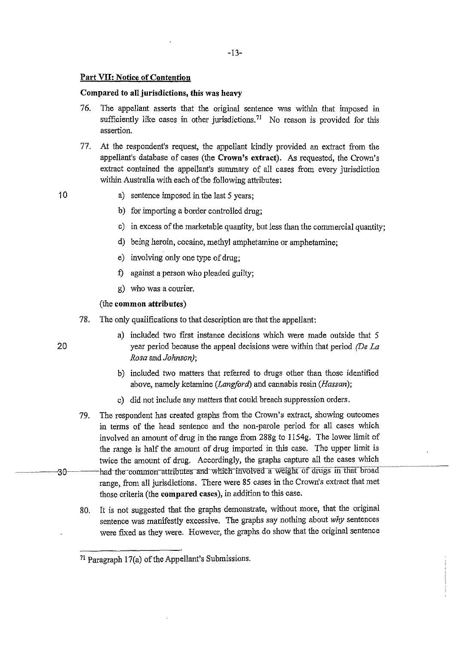# **Part VII: Notice of Contention**

# **Compared to all jurisdictions, this was heavy**

- 76. The appellant asserts that the original sentence was within that imposed in sufficiently like cases in other jurisdictions.<sup>71</sup> No reason is provided for this assertion.
- 77. At the respondent's request, the appellant kindly provided an extract from the appellant's database of cases (the Crown's extract). As requested, the Crown's extract contained the appellant's summary of all cases from every jurisdiction within Australia with each of the following attributes:

- 10 a) sentence imposed in the last 5 years;
	- b) for importing a border controlled drug;
	- c) in excess of the marketable quantity, but less than the commercial quantity;
	- d) being heroin, cocaine, methyl amphetamine or amphetamine;
	- e) involving only one type of drug;
	- f) against a person who pleaded guilty;
	- g) who was a courier.

# (the **common attributes)**

- 78. The only qualifications to that description are that the appellant:
	- a) included two first instance decisions which were made outside that 5 year period because the appeal decisions were within that period *(De La Rosa* and *Johnson);*
	- b) included two matters that referred to drugs other than those identified above, namely ketamine *(Langford)* and cannabis resin *(Hassan);*
	- c) did not include any matters that could breach suppression orders.
- 79. The respondent has created graphs from the Crown's extract, showing outcomes in terms of the head sentence and the non-parole period for all cases which involved an amount of drug in the range from 288g to 1154g. The lower limit of the range is half the amount of drug imported in this case. The upper limit is twice the amount of drug. Accordingly, the graphs capture all the cases which 30 had the common attributes and which involved a weight of drugs in that broad range, from all jurisdictions. There were 85 cases in the Crown's extract that met those criteria (the **compared cases),** in addition to this case.
	- 80. It is not suggested that the graphs demonstrate, without more, that the original sentence was manifestly excessive. The graphs say nothing about *why* sentences were fixed as they were. However, the graphs do show that the original sentence

<sup>71</sup> Paragraph 17(a) of the Appellant's Submissions.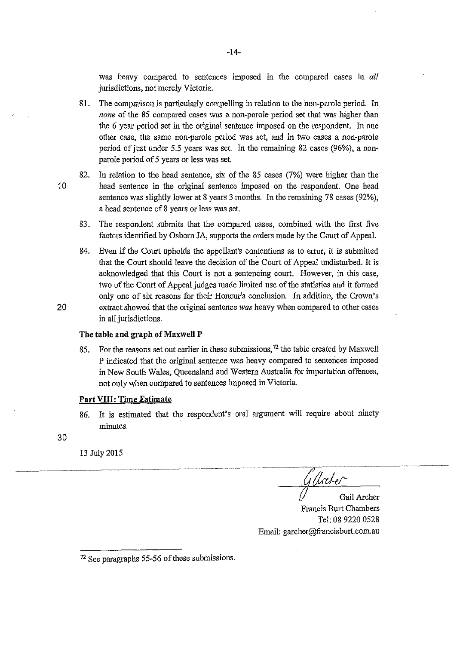was heavy compared to sentences imposed in the compared cases in *all*  jurisdictions, not merely Victoria.

- 81. The comparison is particularly compelling in relation to the non-parole period. In *none* of the 85 compared cases was a non-parole period set that was higher than the 6 year period set in the original sentence imposed on the respondent. In one other case, the same non-parole period was set, and in two cases a non-parole period of just under 5.5 years was set. In the remaining 82 cases (96%), a nonparole period of 5 years or less was set.
- 82. In relation to the head sentence, six of the 85 cases (7%) were higher than the 1 0 head sentence in the original sentence imposed on the respondent. One head sentence was slightly lower at 8 years 3 months. In the remaining 78 cases (92% ), a head sentence of 8 years or less was set.
	- 83. The respondent submits that the compared cases, combined with the first five factors identified by Osborn JA, supports the orders made by the Court of Appeal.
- 84. Even if the Comt upholds the appellant's contentions as to error, it is submitted that the Court should leave the decision of the Court of Appeal undisturbed. It is acknowledged that this Court is not a sentencing court. However, in this case, two of the Court of Appeal judges made limited use of the statistics and it formed only one of six reasons for their Honour's conclusion. In addition, the Crown's 20 extract showed that the original sentence *was* heavy when compared to other cases in all jurisdictions.

#### **The table and graph of Maxwell P**

85. For the reasons set out earlier in these submissions,  $^{72}$  the table created by Maxwell P indicated that the original sentence was heavy compared to sentences imposed in New South Wales, Queensland and Western Australia for importation offences, not only when compared to sentences imposed in Victoria.

#### **Part VIII: Time Estimate**

86. It is estimated that the respondent's oral argument will require about ninety minutes.

30

13 July2015

<u>Gllate</u>

Gail Archer Francis Burt Chambers Tel: 08 9220 0528 Email: garcher@francisburt.com.au

<sup>72</sup> See paragraphs 55-56 of these submissions.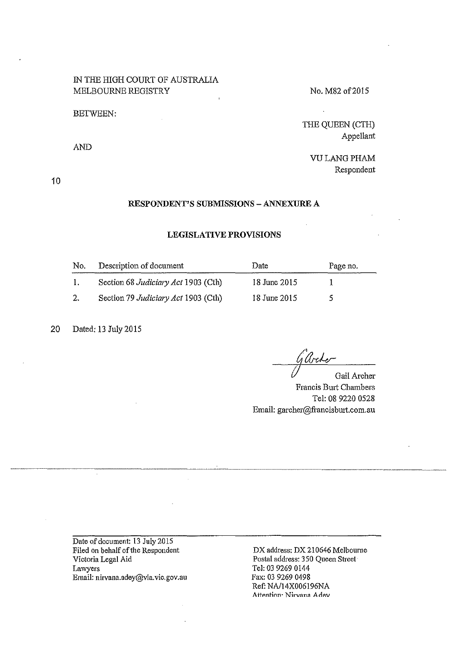# IN THE HIGH COURT OF AUSTRALIA MELBOURNE REGISTRY

#### BETWEEN:

AND

No. M82 of 2015

THE QUEEN (CTH) Appellant

 $\mathcal{L}$ 

VU LANG PHAM Respondent

10

# **RESPONDENT'S SUBMISSIONS- ANNEXURE A**

# **LEGISLATIVE PROVISIONS**

| No.          | Description of document             | Date         | Page no. |
|--------------|-------------------------------------|--------------|----------|
| $\mathbf{L}$ | Section 68 Judiciary Act 1903 (Cth) | 18 June 2015 |          |
| 2.           | Section 79 Judiciary Act 1903 (Cth) | 18 June 2015 |          |

20 Dated: 13 July 2015

g Arche

Gail Archer Francis Burt Chambers Tel: 08 9220 0528 Email: garcher@francisbmt.com.au

Date of document: 13 July 2015 Filed on behalf of the Respondent Victoria Legal Aid Lawyers Email: nirvana.adey@vla.vic.gov.au

DX address: DX 210646 Melbourne Postal address: 3 50 Queen Street· Tel: 03 9269 0144 Fax: 03 9269 0498 Ref: NA/14X006196NA Attention<sup>.</sup> Nirvana Adev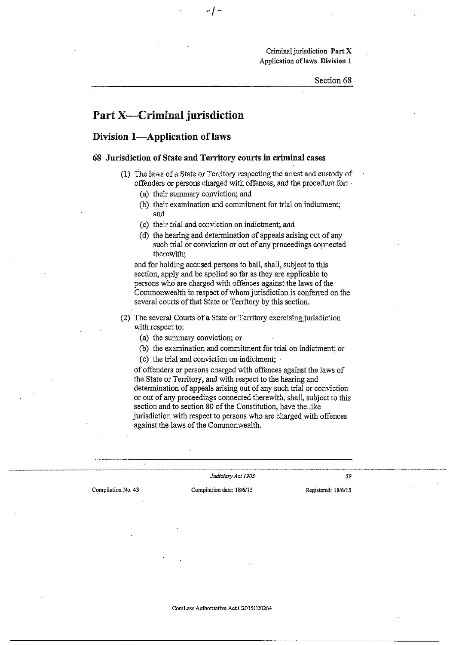Criminal jurisdiction **Part X**  Application oflaws **Division 1** 

# Part **X-Criminal jurisdiction**

# Division 1-Application of laws

#### **68 Jurisdiction of State and Territory courts in criminal cases**

- (1) The laws of a State or Territory respecting the arrest and custody of offenders or persons charged with offences, and the procedure for: ·
	- (a) their summary conviction; and
	- (b) their examination and commitment for trial on indictment; and
	- (c) their trial and conviction on indictment; and
	- (d) the hearing and determination of appeals arising out of any such trial or conviction or out of any proceedings connected therewith;

and for holding accused persons to bail, shall, subject to this section, apply and be applied so far as they are applicable to persons who are charged with offences against the laws of the Commonwealth in respect of whom jurisdiction is conferred on the several courts of that State or Territory by this section.

- (2) The several Courts of a State or Territory exercising jurisdiction with respect to:
	- (a) the summary conviction; or
	- (b) the examination and commitment for trial on indictment; or
	- (c) the trial and conviction on indictment;

of offenders or persons charged with offences against the laws of the State or Territory, and with respect to the hearing and determination of appeals arising out of any such trial or conviction or out of any proceedings connected therewith, shall, subject to this section and to section 80 of the Constitution, have the. like jurisdiction with respect to persons who are charged with offences against the laws of the Commonwealth.

**Compilation No. 43 Compilation date: 18/6/15 Registered: 18/6/15** 

*Judiciary Act 1903* 59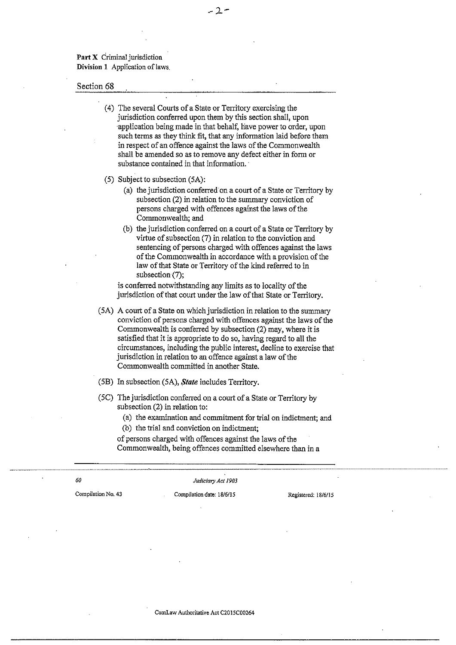Part X Criminal jurisdiction Division 1 Application of laws

#### Section 68

( 4) The several Courts of a State or Territory exercising the jurisdiction conferred upon them by this section shall, upon ·application being made in that behalf, have power to order, upon such terms as they think fit, that any information laid before them in respect of an offence against the laws of the Commonwealth shall be amended so as to remove any defect either in form or substance contained in that information.

 $-2-$ 

- (S) Subject to subsection (SA):
	- (a) the jurisdiction conferred·on a court of a State or Territory by subsection (2) in relation to the summary conviction of persons charged with offences against the laws of the Commonwealth; and
	- (b) the jurisdiction conferred on a court of a State or Territory by virtue of subsection (7) in relation to the conviction and sentencing of persons charged with offences against the laws of the Commonwealth in accordance with a provision of the law of that State or Territory of the kind referred to in subsection $(7)$ ;

is conferred notwithstanding any limits as to locality of the jurisdiction of that court under the law of that State or Territory.

- (SA) A court of a State on which jurisdiction in relation to the summary conviction of persons charged with offences against the laws of the Commonwealth is conferred by subsection (2) may, where it is satisfied that it is appropriate to do so, having regard to all the circumstances, including the public interest, decline to exercise that jurisdiction in relation to an offence against a law of the Commonwealth committed in another State.
- (SB) In subsection (SA), *State* includes Territory.
- (SC) The jurisdiction conferred on a court of a State or Territory by subsection (2) in relation to:
	- (a) the examination and commitment for trial on indictment; and
	- (b) the trial and conviction on indictment;

of persons charged with offences against the laws of the Commonwealth, being offences committed elsewhere than in a

*60* 

*Judiciary Act 1903* 

**Compilation No. 43 Compilation date: 18/6/15 Registered: 18/6115**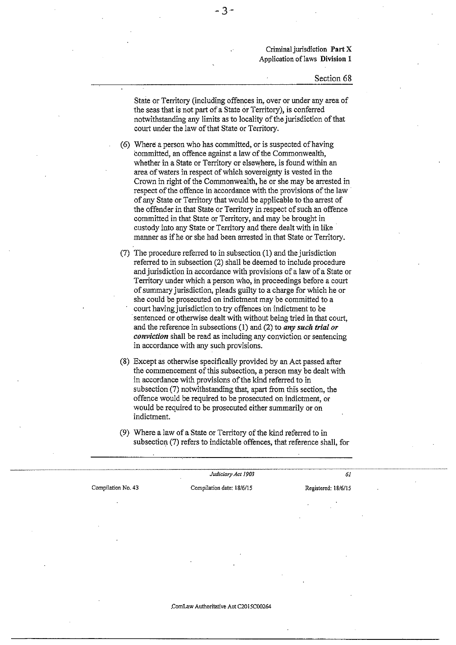Criminal jurisdiction **Part** X Application oflaws **Division 1** 

#### Section 68

State or Territory (including offences in, over or under any area of the seas that is not part of a State or Territory), is conferred notwithstanding any limits as to locality of the jurisdiction of that court under the law of that State or Territory.

(6) Where a person who has committed, or is suspected of having committed, an offence against a law of the Commonwealth, whether in a State or Territory or elsewhere, is found within an area of waters in respect of which sovereignty is vested in the Crown in right of the Commonwealth, he or she may be arrested in respect of the offence in accordance with the provisions of the law of any State or Territory that would be applicable to the arrest of the offender in that State or Territory in respect of such an offence committed in that State or Territory, and may be brought in custody into any State or Territory and there dealt with in like manner as if he or she had been arrested in that State or Territory.

(7) The procedure referred to in subsection (1) and the jurisdiction referred to in subsection (2) shall be deemed to include procedure and jurisdiction in accordance with provisions of a law of a State or Territory under which a person who, in proceedings before a court of summary jurisdiction, pleads guilty to a charge for which he or she could be prosecuted on indictment may be committed to a court having jurisdiction to try offences on indictment to be sentenced or otherwise dealt with without being tried in that court, and the reference in subsections (1) and (2) to *any such trial or conviction* shall be read as including any conviction or sentencing in accordance with any such provisions.

(8) Except as otherwise specifically provided by an Act passed after the commencement of this subsection, a person may be dealt with in accordance with provisions of the kind referred to in subsection  $(7)$  notwithstanding that, apart from this section, the offence would be required to be prosecuted on indictment, or would be required to be prosecuted either summarily or on indictment.

|                    | Judiciary Act 1903                               | 61      |
|--------------------|--------------------------------------------------|---------|
| Compilation No. 43 | Compilation date: 18/6/15<br>Registered: 18/6/15 |         |
|                    |                                                  | $\cdot$ |

(9) Where a law of a State or Territory of the kind referred to in subsection (7) refers to indictable offences, that reference shall, for

**.ComLaw Authoritative Act C20l5C00264**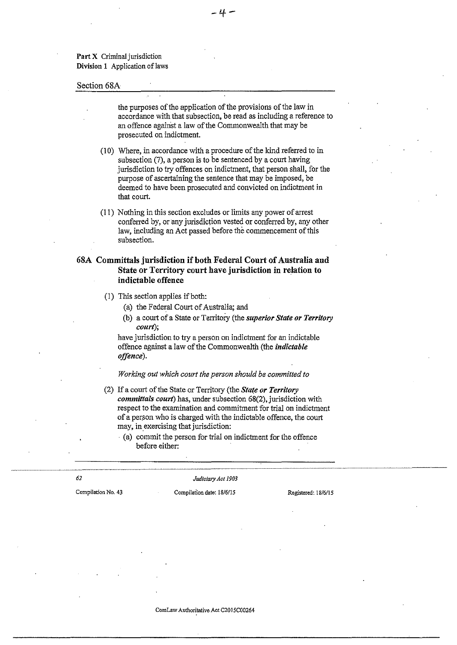Part X Criminal jurisdiction Division 1 Application of laws

#### Section 68A

the purposes of the application of the provisions of the law in accordance with that subsection, be read as including a reference to an offence against a law of the Commonwealth that may be prosecuted on indictment.

-If-

- (10) Where, in accordance with a procedure of the kind referred to in subsection (7), a person is to be sentenced by a court having jurisdiction to try offences on indictment, that person shall, for the purpose of ascertaining the sentence that may be imposed, be deemed to have been prosecuted and convicted on indictment in that court.
- (11) Nothing in this section excludes or limits any power of arrest conferred by, or any jurisdiction vested or conferred by, any other law, including an Act passed before the commencement of this subsection.

# 68A Committals jurisdiction if both Federal Court of Australia and State or Territory court have jurisdiction in relation to indictable offence

- (!) This section applies if both:
	- (a) the Federal Court of Australia; and
	- (b) a court of a State or Territory (the *superior State or Territory court);*

have jurisdiction to try a person on indictment for an indictable offence against a law of the Commonwealth (the *indictable offence).* 

*Working out which court the person should be committed to* 

- (2) If a court of the State or Territory (the *State or Territory committals court)* has, under subsection 68(2), jurisdiction with respect to the examination and commitment for trial on indictment of a person who is charged with the indictable offence, the court may, in exercising that jurisdiction:
	- · (a) commit the person for trial on indictment for the offence before either:

*62* 

*Judiciary Act 1903* 

**Compilation No. 43 Compilation date: 18/6/15 Registered: 18/6/15**